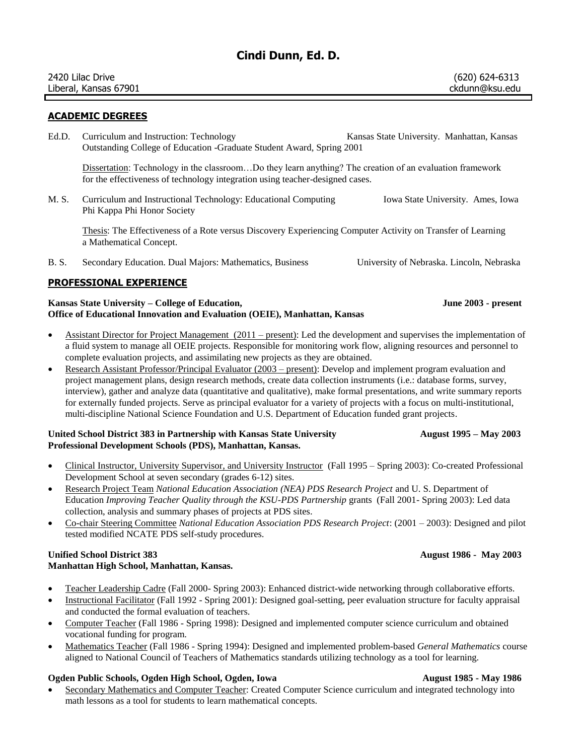# **Cindi Dunn, Ed. D.**

| 2420 Lilac Drive      | (620) 624-6313 |
|-----------------------|----------------|
| Liberal, Kansas 67901 | ckdunn@ksu.edu |
|                       |                |

# **ACADEMIC DEGREES**

Ed.D. Curriculum and Instruction: Technology Kansas State University. Manhattan, Kansas Outstanding College of Education -Graduate Student Award, Spring 2001

Dissertation: Technology in the classroom...Do they learn anything? The creation of an evaluation framework for the effectiveness of technology integration using teacher-designed cases.

M. S. Curriculum and Instructional Technology: Educational Computing Iowa State University. Ames, Iowa Phi Kappa Phi Honor Society

Thesis: The Effectiveness of a Rote versus Discovery Experiencing Computer Activity on Transfer of Learning a Mathematical Concept.

B. S. Secondary Education. Dual Majors: Mathematics, Business University of Nebraska. Lincoln, Nebraska

# **PROFESSIONAL EXPERIENCE**

## **Kansas State University – College of Education, June 2003 - present Office of Educational Innovation and Evaluation (OEIE), Manhattan, Kansas**

- Assistant Director for Project Management (2011 present): Led the development and supervises the implementation of a fluid system to manage all OEIE projects. Responsible for monitoring work flow, aligning resources and personnel to complete evaluation projects, and assimilating new projects as they are obtained.
- Research Assistant Professor/Principal Evaluator (2003 present): Develop and implement program evaluation and project management plans, design research methods, create data collection instruments (i.e.: database forms, survey, interview), gather and analyze data (quantitative and qualitative), make formal presentations, and write summary reports for externally funded projects. Serve as principal evaluator for a variety of projects with a focus on multi-institutional, multi-discipline National Science Foundation and U.S. Department of Education funded grant projects.

### **United School District 383 in Partnership with Kansas State University August 1995 – May 2003 Professional Development Schools (PDS), Manhattan, Kansas.**

- Clinical Instructor, University Supervisor, and University Instructor (Fall 1995 Spring 2003): Co-created Professional Development School at seven secondary (grades 6-12) sites.
- Research Project Team *National Education Association (NEA) PDS Research Project* and U. S. Department of Education *Improving Teacher Quality through the KSU-PDS Partnership* grants (Fall 2001- Spring 2003): Led data collection, analysis and summary phases of projects at PDS sites.
- Co-chair Steering Committee *National Education Association PDS Research Project*: (2001 2003): Designed and pilot tested modified NCATE PDS self-study procedures.

## **Unified School District 383 August 1986 - May 2003 Manhattan High School, Manhattan, Kansas.**

- Teacher Leadership Cadre (Fall 2000- Spring 2003): Enhanced district-wide networking through collaborative efforts.
- Instructional Facilitator (Fall 1992 Spring 2001): Designed goal-setting, peer evaluation structure for faculty appraisal and conducted the formal evaluation of teachers.
- Computer Teacher (Fall 1986 Spring 1998): Designed and implemented computer science curriculum and obtained vocational funding for program.
- Mathematics Teacher (Fall 1986 Spring 1994): Designed and implemented problem-based *General Mathematics* course aligned to National Council of Teachers of Mathematics standards utilizing technology as a tool for learning.

# **Ogden Public Schools, Ogden High School, Ogden, Iowa August 1985 - May 1986**

 Secondary Mathematics and Computer Teacher: Created Computer Science curriculum and integrated technology into math lessons as a tool for students to learn mathematical concepts.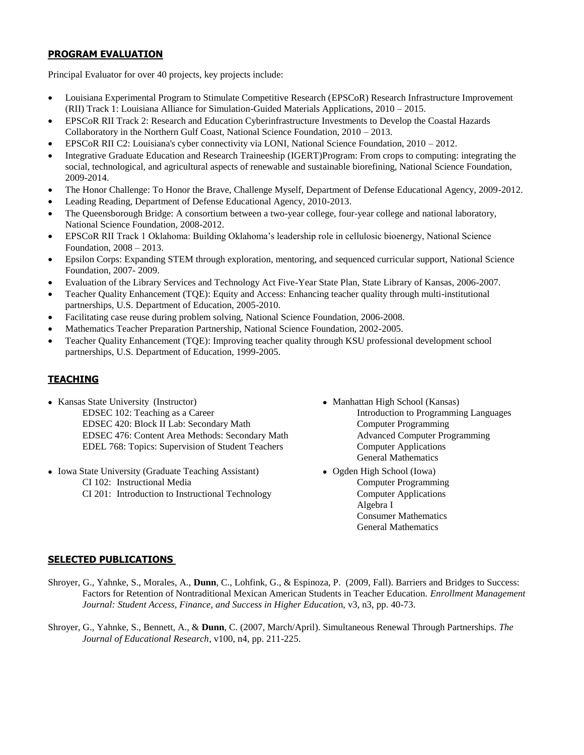# **PROGRAM EVALUATION**

Principal Evaluator for over 40 projects, key projects include:

- Louisiana Experimental Program to Stimulate Competitive Research (EPSCoR) Research Infrastructure Improvement (RII) Track 1: Louisiana Alliance for Simulation-Guided Materials Applications, 2010 – 2015.
- EPSCoR RII Track 2: Research and Education Cyberinfrastructure Investments to Develop the Coastal Hazards Collaboratory in the Northern Gulf Coast, National Science Foundation, 2010 – 2013.
- EPSCoR RII C2: Louisiana's cyber connectivity via LONI, National Science Foundation, 2010 2012.
- Integrative Graduate Education and Research Traineeship (IGERT)Program: From crops to computing: integrating the social, technological, and agricultural aspects of renewable and sustainable biorefining, National Science Foundation, 2009-2014.
- The Honor Challenge: To Honor the Brave, Challenge Myself, Department of Defense Educational Agency, 2009-2012.
- Leading Reading, Department of Defense Educational Agency, 2010-2013.
- The Queensborough Bridge: A consortium between a two-year college, four-year college and national laboratory, National Science Foundation, 2008-2012.
- EPSCoR RII Track 1 Oklahoma: Building Oklahoma's leadership role in cellulosic bioenergy, National Science Foundation, 2008 – 2013.
- Epsilon Corps: Expanding STEM through exploration, mentoring, and sequenced curricular support, National Science Foundation, 2007- 2009.
- Evaluation of the Library Services and Technology Act Five-Year State Plan, State Library of Kansas, 2006-2007.
- Teacher Quality Enhancement (TQE): Equity and Access: Enhancing teacher quality through multi-institutional partnerships, U.S. Department of Education, 2005-2010.
- Facilitating case reuse during problem solving, National Science Foundation, 2006-2008.
- Mathematics Teacher Preparation Partnership, National Science Foundation, 2002-2005.
- Teacher Quality Enhancement (TQE): Improving teacher quality through KSU professional development school partnerships, U.S. Department of Education, 1999-2005.

# **TEACHING**

- Kansas State University (Instructor) Manhattan High School (Kansas) EDSEC 102: Teaching as a Career **Introduction** is a career and the Introduction to Programming Languages EDSEC 420: Block II Lab: Secondary Math Computer Programming EDSEC 476: Content Area Methods: Secondary Math Advanced Computer Programming EDEL 768: Topics: Supervision of Student Teachers Computer Applications
- Iowa State University (Graduate Teaching Assistant) Ogden High School (Iowa) CI 102: Instructional Media Computer Programming CI 201: Introduction to Instructional Technology Computer Applications
- General Mathematics
	- Algebra I Consumer Mathematics General Mathematics

# **SELECTED PUBLICATIONS**

- Shroyer, G., Yahnke, S., Morales, A., **Dunn**, C., Lohfink, G., & Espinoza, P. (2009, Fall). Barriers and Bridges to Success: Factors for Retention of Nontraditional Mexican American Students in Teacher Education. *Enrollment Management Journal: Student Access, Finance, and Success in Higher Educatio*n, v3, n3, pp. 40-73.
- Shroyer, G., Yahnke, S., Bennett, A., & **Dunn**, C. (2007, March/April). Simultaneous Renewal Through Partnerships. *The Journal of Educational Research*, v100, n4, pp. 211-225.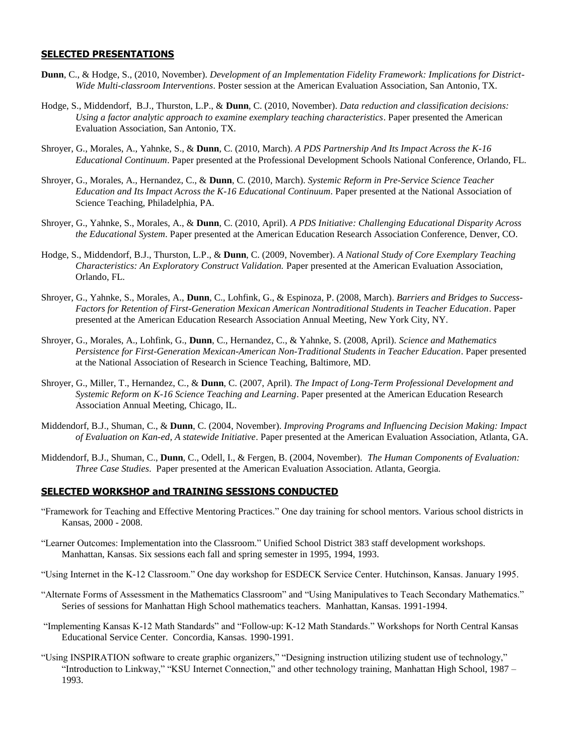### **SELECTED PRESENTATIONS**

- **Dunn**, C., & Hodge, S., (2010, November). *Development of an Implementation Fidelity Framework: Implications for District-Wide Multi-classroom Interventions*. Poster session at the American Evaluation Association, San Antonio, TX.
- Hodge, S., Middendorf, B.J., Thurston, L.P., & **Dunn**, C. (2010, November). *Data reduction and classification decisions: Using a factor analytic approach to examine exemplary teaching characteristics*. Paper presented the American Evaluation Association, San Antonio, TX.
- Shroyer, G., Morales, A., Yahnke, S., & **Dunn**, C. (2010, March). *A PDS Partnership And Its Impact Across the K-16 Educational Continuum*. Paper presented at the Professional Development Schools National Conference, Orlando, FL.
- Shroyer, G., Morales, A., Hernandez, C., & **Dunn**, C. (2010, March). *Systemic Reform in Pre-Service Science Teacher Education and Its Impact Across the K-16 Educational Continuum*. Paper presented at the National Association of Science Teaching, Philadelphia, PA.
- Shroyer, G., Yahnke, S., Morales, A., & **Dunn**, C. (2010, April). *A PDS Initiative: Challenging Educational Disparity Across the Educational System*. Paper presented at the American Education Research Association Conference, Denver, CO.
- Hodge, S., Middendorf, B.J., Thurston, L.P., & **Dunn**, C. (2009, November). *A National Study of Core Exemplary Teaching Characteristics: An Exploratory Construct Validation.* Paper presented at the American Evaluation Association, Orlando, FL.
- Shroyer, G., Yahnke, S., Morales, A., **Dunn**, C., Lohfink, G., & Espinoza, P. (2008, March). *Barriers and Bridges to Success-Factors for Retention of First-Generation Mexican American Nontraditional Students in Teacher Education*. Paper presented at the American Education Research Association Annual Meeting, New York City, NY.
- Shroyer, G., Morales, A., Lohfink, G., **Dunn**, C., Hernandez, C., & Yahnke, S. (2008, April). *Science and Mathematics Persistence for First-Generation Mexican-American Non-Traditional Students in Teacher Education*. Paper presented at the National Association of Research in Science Teaching, Baltimore, MD.
- Shroyer, G., Miller, T., Hernandez, C., & **Dunn**, C. (2007, April). *The Impact of Long-Term Professional Development and Systemic Reform on K-16 Science Teaching and Learning*. Paper presented at the American Education Research Association Annual Meeting, Chicago, IL.
- Middendorf, B.J., Shuman, C., & **Dunn**, C. (2004, November). *Improving Programs and Influencing Decision Making: Impact of Evaluation on Kan-ed, A statewide Initiative*. Paper presented at the American Evaluation Association, Atlanta, GA.
- Middendorf, B.J., Shuman, C., **Dunn**, C., Odell, I., & Fergen, B. (2004, November). *The Human Components of Evaluation: Three Case Studies*. Paper presented at the American Evaluation Association. Atlanta, Georgia.

#### **SELECTED WORKSHOP and TRAINING SESSIONS CONDUCTED**

- "Framework for Teaching and Effective Mentoring Practices." One day training for school mentors. Various school districts in Kansas, 2000 - 2008.
- "Learner Outcomes: Implementation into the Classroom." Unified School District 383 staff development workshops. Manhattan, Kansas. Six sessions each fall and spring semester in 1995, 1994, 1993.
- "Using Internet in the K-12 Classroom." One day workshop for ESDECK Service Center. Hutchinson, Kansas. January 1995.
- "Alternate Forms of Assessment in the Mathematics Classroom" and "Using Manipulatives to Teach Secondary Mathematics." Series of sessions for Manhattan High School mathematics teachers. Manhattan, Kansas. 1991-1994.
- "Implementing Kansas K-12 Math Standards" and "Follow-up: K-12 Math Standards." Workshops for North Central Kansas Educational Service Center. Concordia, Kansas. 1990-1991.
- "Using INSPIRATION software to create graphic organizers," "Designing instruction utilizing student use of technology," "Introduction to Linkway," "KSU Internet Connection," and other technology training, Manhattan High School, 1987 – 1993.